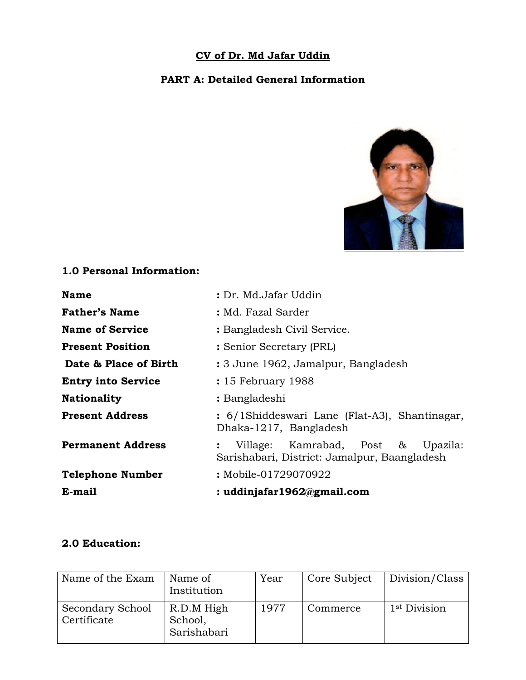## **CV of Dr. Md Jafar Uddin**

## **PART A: Detailed General Information**



## **1.0 Personal Information:**

| <b>Name</b>               | : Dr. Md.Jafar Uddin                                                                     |  |  |
|---------------------------|------------------------------------------------------------------------------------------|--|--|
| <b>Father's Name</b>      | : Md. Fazal Sarder                                                                       |  |  |
| <b>Name of Service</b>    | : Bangladesh Civil Service.                                                              |  |  |
| <b>Present Position</b>   | : Senior Secretary (PRL)                                                                 |  |  |
| Date & Place of Birth     | : 3 June 1962, Jamalpur, Bangladesh                                                      |  |  |
| <b>Entry into Service</b> | : 15 February 1988                                                                       |  |  |
| <b>Nationality</b>        | : Bangladeshi                                                                            |  |  |
| <b>Present Address</b>    | : 6/1Shiddeswari Lane (Flat-A3), Shantinagar,<br>Dhaka-1217, Bangladesh                  |  |  |
| <b>Permanent Address</b>  | Village: Kamrabad, Post $\&$<br>Upazila:<br>Sarishabari, District: Jamalpur, Baangladesh |  |  |
| <b>Telephone Number</b>   | : Mobile-01729070922                                                                     |  |  |
| E-mail                    | : uddinjafar1962@gmail.com                                                               |  |  |

#### **2.0 Education:**

| Name of the Exam                | Name of<br>Institution               | Year | Core Subject | Division/Class           |
|---------------------------------|--------------------------------------|------|--------------|--------------------------|
| Secondary School<br>Certificate | R.D.M High<br>School,<br>Sarishabari | 1977 | Commerce     | 1 <sup>st</sup> Division |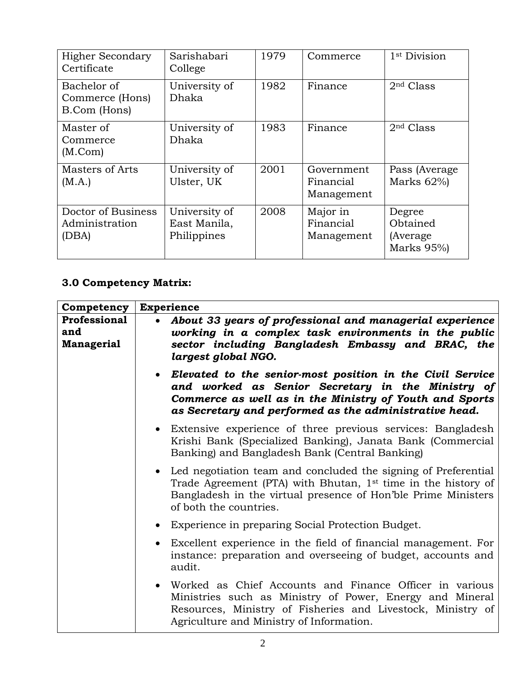| <b>Higher Secondary</b><br>Certificate         | Sarishabari<br>College                       | 1979 | Commerce                              | 1 <sup>st</sup> Division                      |
|------------------------------------------------|----------------------------------------------|------|---------------------------------------|-----------------------------------------------|
| Bachelor of<br>Commerce (Hons)<br>B.Com (Hons) | University of<br>Dhaka                       | 1982 | Finance                               | 2 <sup>nd</sup> Class                         |
| Master of<br>Commerce<br>(M.Com)               | University of<br>Dhaka                       | 1983 | Finance                               | 2 <sup>nd</sup> Class                         |
| Masters of Arts<br>(M.A.)                      | University of<br>Ulster, UK                  | 2001 | Government<br>Financial<br>Management | Pass (Average)<br>Marks $62\%$                |
| Doctor of Business<br>Administration<br>(DBA)  | University of<br>East Manila,<br>Philippines | 2008 | Major in<br>Financial<br>Management   | Degree<br>Obtained<br>(Average)<br>Marks 95%) |

# **3.0 Competency Matrix:**

| Competency                        | <b>Experience</b>                                                                                                                                                                                                                     |
|-----------------------------------|---------------------------------------------------------------------------------------------------------------------------------------------------------------------------------------------------------------------------------------|
| Professional<br>and<br>Managerial | About 33 years of professional and managerial experience<br>working in a complex task environments in the public<br>sector including Bangladesh Embassy and BRAC, the<br>largest global NGO.                                          |
|                                   | • Elevated to the senior-most position in the Civil Service<br>and worked as Senior Secretary in the Ministry of<br>Commerce as well as in the Ministry of Youth and Sports<br>as Secretary and performed as the administrative head. |
|                                   | • Extensive experience of three previous services: Bangladesh<br>Krishi Bank (Specialized Banking), Janata Bank (Commercial<br>Banking) and Bangladesh Bank (Central Banking)                                                         |
|                                   | • Led negotiation team and concluded the signing of Preferential<br>Trade Agreement (PTA) with Bhutan, 1st time in the history of<br>Bangladesh in the virtual presence of Hon'ble Prime Ministers<br>of both the countries.          |
|                                   | • Experience in preparing Social Protection Budget.                                                                                                                                                                                   |
|                                   | • Excellent experience in the field of financial management. For<br>instance: preparation and overseeing of budget, accounts and<br>audit.                                                                                            |
|                                   | • Worked as Chief Accounts and Finance Officer in various<br>Ministries such as Ministry of Power, Energy and Mineral<br>Resources, Ministry of Fisheries and Livestock, Ministry of<br>Agriculture and Ministry of Information.      |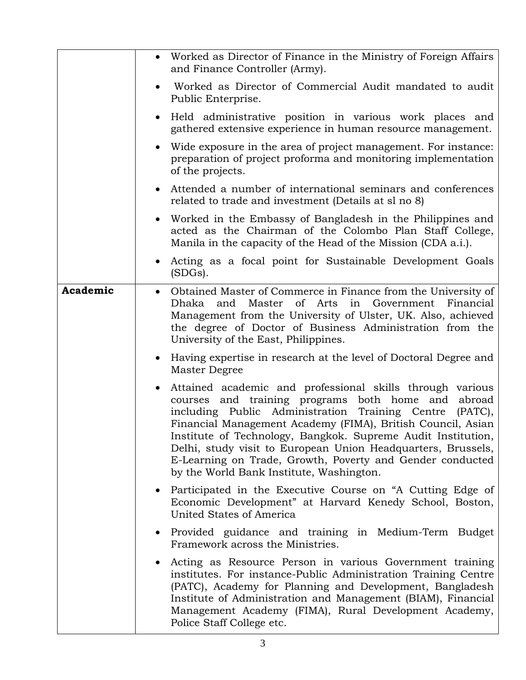|          | Worked as Director of Finance in the Ministry of Foreign Affairs<br>and Finance Controller (Army).                                                                                                                                                                                                                                                                                                                                                                                          |
|----------|---------------------------------------------------------------------------------------------------------------------------------------------------------------------------------------------------------------------------------------------------------------------------------------------------------------------------------------------------------------------------------------------------------------------------------------------------------------------------------------------|
|          | Worked as Director of Commercial Audit mandated to audit<br>Public Enterprise.                                                                                                                                                                                                                                                                                                                                                                                                              |
|          | Held administrative position in various work places and<br>gathered extensive experience in human resource management.                                                                                                                                                                                                                                                                                                                                                                      |
|          | Wide exposure in the area of project management. For instance:<br>preparation of project proforma and monitoring implementation<br>of the projects.                                                                                                                                                                                                                                                                                                                                         |
|          | Attended a number of international seminars and conferences<br>$\bullet$<br>related to trade and investment (Details at sl no 8)                                                                                                                                                                                                                                                                                                                                                            |
|          | Worked in the Embassy of Bangladesh in the Philippines and<br>$\bullet$<br>acted as the Chairman of the Colombo Plan Staff College,<br>Manila in the capacity of the Head of the Mission (CDA a.i.).                                                                                                                                                                                                                                                                                        |
|          | • Acting as a focal point for Sustainable Development Goals<br>(SDGs).                                                                                                                                                                                                                                                                                                                                                                                                                      |
| Academic | • Obtained Master of Commerce in Finance from the University of<br><sub>of</sub><br>Government<br>Dhaka<br>and<br>Master<br>Arts<br>in<br>Financial<br>Management from the University of Ulster, UK. Also, achieved<br>the degree of Doctor of Business Administration from the<br>University of the East, Philippines.                                                                                                                                                                     |
|          | Having expertise in research at the level of Doctoral Degree and<br>$\bullet$<br>Master Degree                                                                                                                                                                                                                                                                                                                                                                                              |
|          | Attained academic and professional skills through various<br>courses and training programs both home and<br>abroad<br>including Public Administration Training Centre<br>$(PATC)$ ,<br>Financial Management Academy (FIMA), British Council, Asian<br>Institute of Technology, Bangkok. Supreme Audit Institution,<br>Delhi, study visit to European Union Headquarters, Brussels,<br>E-Learning on Trade, Growth, Poverty and Gender conducted<br>by the World Bank Institute, Washington. |
|          | Participated in the Executive Course on "A Cutting Edge of<br>$\bullet$<br>Economic Development" at Harvard Kenedy School, Boston,<br>United States of America                                                                                                                                                                                                                                                                                                                              |
|          | Provided guidance and training in Medium-Term Budget<br>$\bullet$<br>Framework across the Ministries.                                                                                                                                                                                                                                                                                                                                                                                       |
|          | Acting as Resource Person in various Government training<br>institutes. For instance-Public Administration Training Centre<br>(PATC), Academy for Planning and Development, Bangladesh<br>Institute of Administration and Management (BIAM), Financial<br>Management Academy (FIMA), Rural Development Academy,<br>Police Staff College etc.                                                                                                                                                |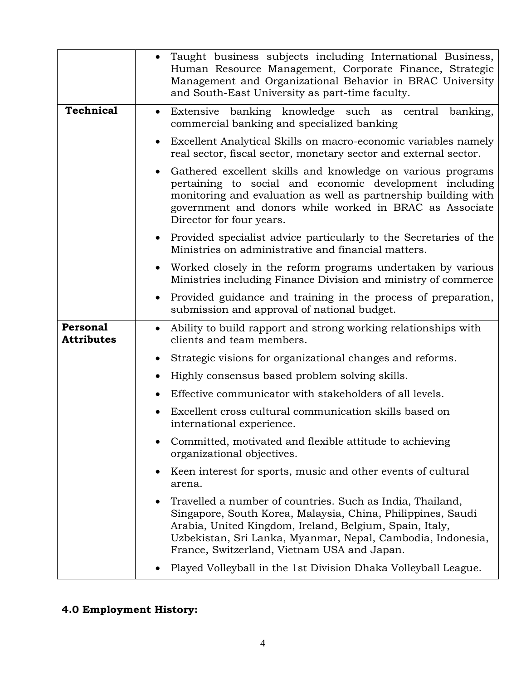|                               | Taught business subjects including International Business,<br>Human Resource Management, Corporate Finance, Strategic<br>Management and Organizational Behavior in BRAC University<br>and South-East University as part-time faculty.                                                             |
|-------------------------------|---------------------------------------------------------------------------------------------------------------------------------------------------------------------------------------------------------------------------------------------------------------------------------------------------|
| <b>Technical</b>              | Extensive banking knowledge such as central<br>banking,<br>$\bullet$<br>commercial banking and specialized banking                                                                                                                                                                                |
|                               | • Excellent Analytical Skills on macro-economic variables namely<br>real sector, fiscal sector, monetary sector and external sector.                                                                                                                                                              |
|                               | Gathered excellent skills and knowledge on various programs<br>pertaining to social and economic development including<br>monitoring and evaluation as well as partnership building with<br>government and donors while worked in BRAC as Associate<br>Director for four years.                   |
|                               | Provided specialist advice particularly to the Secretaries of the<br>Ministries on administrative and financial matters.                                                                                                                                                                          |
|                               | Worked closely in the reform programs undertaken by various<br>Ministries including Finance Division and ministry of commerce                                                                                                                                                                     |
|                               | Provided guidance and training in the process of preparation,<br>submission and approval of national budget.                                                                                                                                                                                      |
| Personal<br><b>Attributes</b> | Ability to build rapport and strong working relationships with<br>clients and team members.                                                                                                                                                                                                       |
|                               | Strategic visions for organizational changes and reforms.                                                                                                                                                                                                                                         |
|                               | Highly consensus based problem solving skills.<br>$\bullet$                                                                                                                                                                                                                                       |
|                               | Effective communicator with stakeholders of all levels.                                                                                                                                                                                                                                           |
|                               | Excellent cross cultural communication skills based on<br>international experience.                                                                                                                                                                                                               |
|                               | Committed, motivated and flexible attitude to achieving<br>organizational objectives.                                                                                                                                                                                                             |
|                               | Keen interest for sports, music and other events of cultural<br>arena.                                                                                                                                                                                                                            |
|                               | Travelled a number of countries. Such as India, Thailand,<br>Singapore, South Korea, Malaysia, China, Philippines, Saudi<br>Arabia, United Kingdom, Ireland, Belgium, Spain, Italy,<br>Uzbekistan, Sri Lanka, Myanmar, Nepal, Cambodia, Indonesia,<br>France, Switzerland, Vietnam USA and Japan. |
|                               | Played Volleyball in the 1st Division Dhaka Volleyball League.                                                                                                                                                                                                                                    |

# **4.0 Employment History:**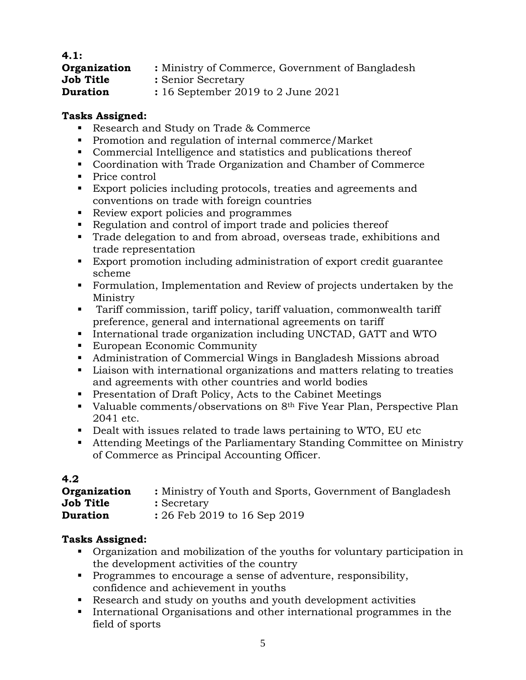| 4.1:             |                                                  |
|------------------|--------------------------------------------------|
| Organization     | : Ministry of Commerce, Government of Bangladesh |
| <b>Job Title</b> | : Senior Secretary                               |
| <b>Duration</b>  | $: 16$ September 2019 to 2 June 2021             |

- Research and Study on Trade & Commerce
- **Promotion and regulation of internal commerce/Market**
- Commercial Intelligence and statistics and publications thereof
- Coordination with Trade Organization and Chamber of Commerce
- Price control
- Export policies including protocols, treaties and agreements and conventions on trade with foreign countries
- Review export policies and programmes
- Regulation and control of import trade and policies thereof
- Trade delegation to and from abroad, overseas trade, exhibitions and trade representation
- Export promotion including administration of export credit guarantee scheme
- Formulation, Implementation and Review of projects undertaken by the Ministry
- Tariff commission, tariff policy, tariff valuation, commonwealth tariff preference, general and international agreements on tariff
- International trade organization including UNCTAD, GATT and WTO
- **European Economic Community**
- Administration of Commercial Wings in Bangladesh Missions abroad
- Liaison with international organizations and matters relating to treaties and agreements with other countries and world bodies
- **Presentation of Draft Policy, Acts to the Cabinet Meetings**
- Valuable comments/observations on  $8<sup>th</sup>$  Five Year Plan, Perspective Plan 2041 etc.
- Dealt with issues related to trade laws pertaining to WTO, EU etc
- Attending Meetings of the Parliamentary Standing Committee on Ministry of Commerce as Principal Accounting Officer.

| 4.2              |                                                          |
|------------------|----------------------------------------------------------|
| Organization     | : Ministry of Youth and Sports, Government of Bangladesh |
| <b>Job Title</b> | : Secretary                                              |
| <b>Duration</b>  | : 26 Feb 2019 to 16 Sep 2019                             |

- Organization and mobilization of the youths for voluntary participation in the development activities of the country
- **Programmes to encourage a sense of adventure, responsibility,** confidence and achievement in youths
- Research and study on youths and youth development activities
- International Organisations and other international programmes in the field of sports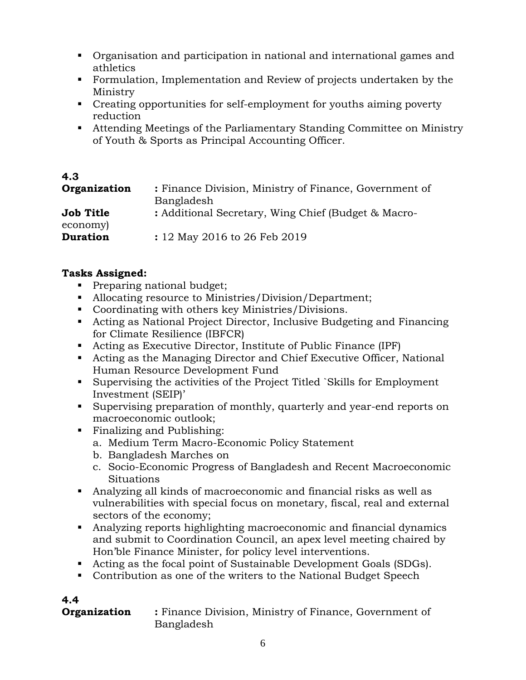- Organisation and participation in national and international games and athletics
- Formulation, Implementation and Review of projects undertaken by the Ministry
- Creating opportunities for self-employment for youths aiming poverty reduction
- Attending Meetings of the Parliamentary Standing Committee on Ministry of Youth & Sports as Principal Accounting Officer.

| 4.3              |                                                        |
|------------------|--------------------------------------------------------|
| Organization     | : Finance Division, Ministry of Finance, Government of |
|                  | Bangladesh                                             |
| <b>Job Title</b> | : Additional Secretary, Wing Chief (Budget & Macro-    |
| economy)         |                                                        |
| <b>Duration</b>  | : 12 May 2016 to 26 Feb 2019                           |

- **Preparing national budget;**
- Allocating resource to Ministries/Division/Department;
- Coordinating with others key Ministries/Divisions.
- Acting as National Project Director, Inclusive Budgeting and Financing for Climate Resilience (IBFCR)
- Acting as Executive Director, Institute of Public Finance (IPF)
- Acting as the Managing Director and Chief Executive Officer, National Human Resource Development Fund
- Supervising the activities of the Project Titled `Skills for Employment Investment (SEIP)'
- Supervising preparation of monthly, quarterly and year-end reports on macroeconomic outlook;
- **Finalizing and Publishing:** 
	- a. Medium Term Macro-Economic Policy Statement
	- b. Bangladesh Marches on
	- c. Socio-Economic Progress of Bangladesh and Recent Macroeconomic Situations
- Analyzing all kinds of macroeconomic and financial risks as well as vulnerabilities with special focus on monetary, fiscal, real and external sectors of the economy;
- Analyzing reports highlighting macroeconomic and financial dynamics and submit to Coordination Council, an apex level meeting chaired by Hon'ble Finance Minister, for policy level interventions.
- Acting as the focal point of Sustainable Development Goals (SDGs).
- Contribution as one of the writers to the National Budget Speech

# **4.4**

**Organization** : Finance Division, Ministry of Finance, Government of Bangladesh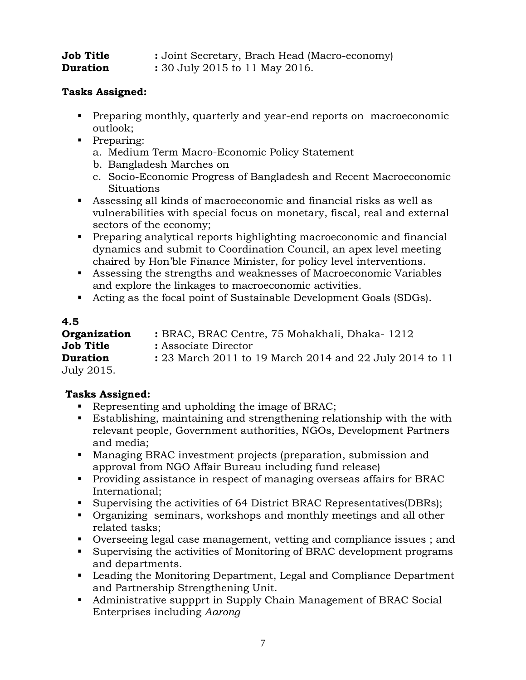| Job Title | : Joint Secretary, Brach Head (Macro-economy) |
|-----------|-----------------------------------------------|
| Duration  | : 30 July 2015 to 11 May 2016.                |

- **Preparing monthly, quarterly and year-end reports on macroeconomic** outlook;
- **Preparing:** 
	- a. Medium Term Macro-Economic Policy Statement
	- b. Bangladesh Marches on
	- c. Socio-Economic Progress of Bangladesh and Recent Macroeconomic Situations
- Assessing all kinds of macroeconomic and financial risks as well as vulnerabilities with special focus on monetary, fiscal, real and external sectors of the economy;
- Preparing analytical reports highlighting macroeconomic and financial dynamics and submit to Coordination Council, an apex level meeting chaired by Hon'ble Finance Minister, for policy level interventions.
- Assessing the strengths and weaknesses of Macroeconomic Variables and explore the linkages to macroeconomic activities.
- Acting as the focal point of Sustainable Development Goals (SDGs).

## **4.5**

| Organization    | : BRAC, BRAC Centre, 75 Mohakhali, Dhaka-1212           |
|-----------------|---------------------------------------------------------|
| Job Title       | : Associate Director                                    |
| <b>Duration</b> | : 23 March 2011 to 19 March 2014 and 22 July 2014 to 11 |
| July 2015.      |                                                         |

- Representing and upholding the image of BRAC;
- Establishing, maintaining and strengthening relationship with the with relevant people, Government authorities, NGOs, Development Partners and media;
- Managing BRAC investment projects (preparation, submission and approval from NGO Affair Bureau including fund release)
- **Providing assistance in respect of managing overseas affairs for BRAC** International;
- Supervising the activities of 64 District BRAC Representatives (DBRs);
- Organizing seminars, workshops and monthly meetings and all other related tasks;
- Overseeing legal case management, vetting and compliance issues ; and
- Supervising the activities of Monitoring of BRAC development programs and departments.
- Leading the Monitoring Department, Legal and Compliance Department and Partnership Strengthening Unit.
- Administrative suppprt in Supply Chain Management of BRAC Social Enterprises including *Aarong*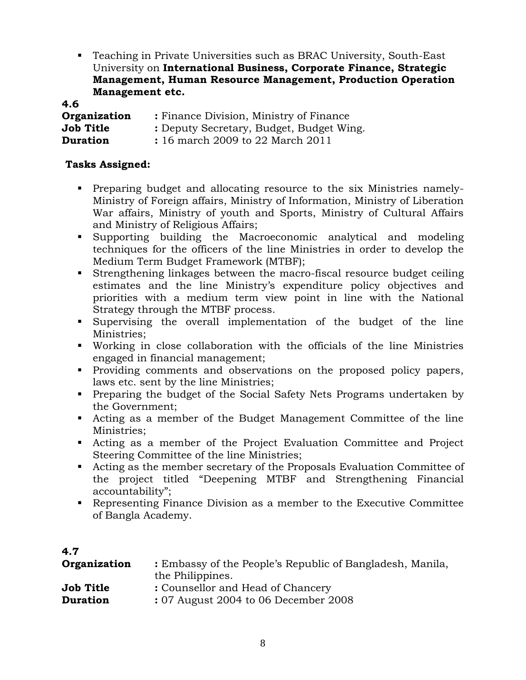Teaching in Private Universities such as BRAC University, South-East University on **International Business, Corporate Finance, Strategic Management, Human Resource Management, Production Operation Management etc.**

**4.6**

| Organization     | : Finance Division, Ministry of Finance  |
|------------------|------------------------------------------|
| <b>Job Title</b> | : Deputy Secretary, Budget, Budget Wing. |
| <b>Duration</b>  | : 16 march 2009 to 22 March 2011         |

- Preparing budget and allocating resource to the six Ministries namely-Ministry of Foreign affairs, Ministry of Information, Ministry of Liberation War affairs, Ministry of youth and Sports, Ministry of Cultural Affairs and Ministry of Religious Affairs;
- Supporting building the Macroeconomic analytical and modeling techniques for the officers of the line Ministries in order to develop the Medium Term Budget Framework (MTBF);
- Strengthening linkages between the macro-fiscal resource budget ceiling estimates and the line Ministry's expenditure policy objectives and priorities with a medium term view point in line with the National Strategy through the MTBF process.
- Supervising the overall implementation of the budget of the line Ministries;
- Working in close collaboration with the officials of the line Ministries engaged in financial management;
- Providing comments and observations on the proposed policy papers, laws etc. sent by the line Ministries;
- **Preparing the budget of the Social Safety Nets Programs undertaken by** the Government;
- Acting as a member of the Budget Management Committee of the line Ministries;
- Acting as a member of the Project Evaluation Committee and Project Steering Committee of the line Ministries;
- Acting as the member secretary of the Proposals Evaluation Committee of the project titled "Deepening MTBF and Strengthening Financial accountability";
- Representing Finance Division as a member to the Executive Committee of Bangla Academy.

| 4.7             |                                                           |
|-----------------|-----------------------------------------------------------|
| Organization    | : Embassy of the People's Republic of Bangladesh, Manila, |
|                 | the Philippines.                                          |
| Job Title       | : Counsellor and Head of Chancery                         |
| <b>Duration</b> | : 07 August 2004 to 06 December 2008                      |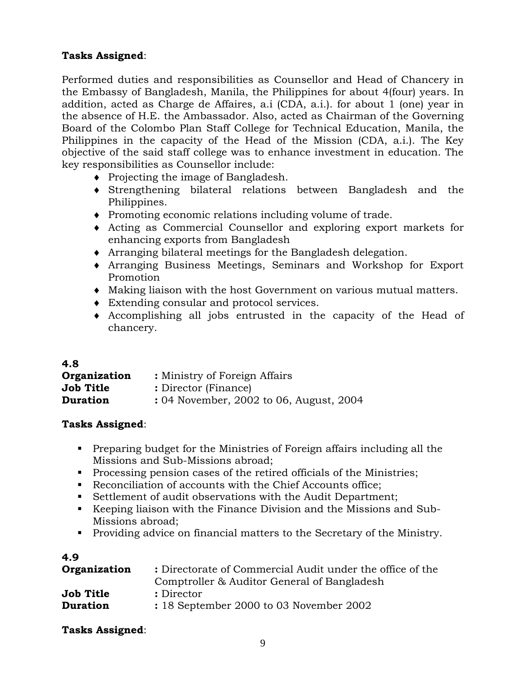Performed duties and responsibilities as Counsellor and Head of Chancery in the Embassy of Bangladesh, Manila, the Philippines for about 4(four) years. In addition, acted as Charge de Affaires, a.i (CDA, a.i.). for about 1 (one) year in the absence of H.E. the Ambassador. Also, acted as Chairman of the Governing Board of the Colombo Plan Staff College for Technical Education, Manila, the Philippines in the capacity of the Head of the Mission (CDA, a.i.). The Key objective of the said staff college was to enhance investment in education. The key responsibilities as Counsellor include:

- Projecting the image of Bangladesh.
- Strengthening bilateral relations between Bangladesh and the Philippines.
- Promoting economic relations including volume of trade.
- Acting as Commercial Counsellor and exploring export markets for enhancing exports from Bangladesh
- Arranging bilateral meetings for the Bangladesh delegation.
- Arranging Business Meetings, Seminars and Workshop for Export Promotion
- Making liaison with the host Government on various mutual matters.
- Extending consular and protocol services.
- Accomplishing all jobs entrusted in the capacity of the Head of chancery.

| 4.8              |                                         |
|------------------|-----------------------------------------|
| Organization     | : Ministry of Foreign Affairs           |
| <b>Job Title</b> | : Director (Finance)                    |
| <b>Duration</b>  | : 04 November, 2002 to 06, August, 2004 |

## **Tasks Assigned**:

- **Preparing budget for the Ministries of Foreign affairs including all the** Missions and Sub-Missions abroad;
- Processing pension cases of the retired officials of the Ministries;
- Reconciliation of accounts with the Chief Accounts office;
- Settlement of audit observations with the Audit Department;
- Keeping liaison with the Finance Division and the Missions and Sub-Missions abroad;
- Providing advice on financial matters to the Secretary of the Ministry.

| 4.9              |                                                                                                          |
|------------------|----------------------------------------------------------------------------------------------------------|
| Organization     | : Directorate of Commercial Audit under the office of the<br>Comptroller & Auditor General of Bangladesh |
| <b>Job Title</b> | : Director                                                                                               |
| <b>Duration</b>  | : 18 September 2000 to 03 November 2002                                                                  |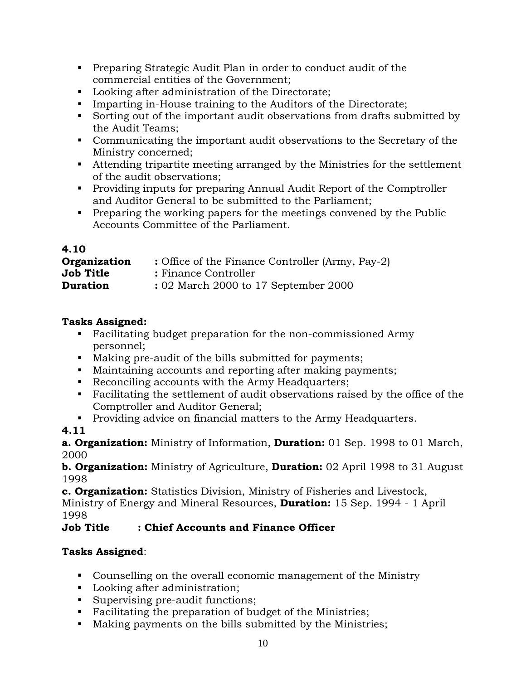- Preparing Strategic Audit Plan in order to conduct audit of the commercial entities of the Government;
- **Looking after administration of the Directorate;**
- Imparting in-House training to the Auditors of the Directorate;
- Sorting out of the important audit observations from drafts submitted by the Audit Teams;
- Communicating the important audit observations to the Secretary of the Ministry concerned;
- Attending tripartite meeting arranged by the Ministries for the settlement of the audit observations;
- Providing inputs for preparing Annual Audit Report of the Comptroller and Auditor General to be submitted to the Parliament;
- **Preparing the working papers for the meetings convened by the Public** Accounts Committee of the Parliament.

## **4.10**

| Organization     | : Office of the Finance Controller (Army, Pay-2) |
|------------------|--------------------------------------------------|
| <b>Job Title</b> | : Finance Controller                             |
| <b>Duration</b>  | : 02 March 2000 to 17 September 2000             |

## **Tasks Assigned:**

- Facilitating budget preparation for the non-commissioned Army personnel;
- Making pre-audit of the bills submitted for payments;
- Maintaining accounts and reporting after making payments;
- Reconciling accounts with the Army Headquarters;
- Facilitating the settlement of audit observations raised by the office of the Comptroller and Auditor General;
- **Providing advice on financial matters to the Army Headquarters.**

## **4.11**

**a. Organization:** Ministry of Information, **Duration:** 01 Sep. 1998 to 01 March, 2000

**b. Organization:** Ministry of Agriculture, **Duration:** 02 April 1998 to 31 August 1998

**c. Organization:** Statistics Division, Ministry of Fisheries and Livestock, Ministry of Energy and Mineral Resources, **Duration:** 15 Sep. 1994 - 1 April 1998

## **Job Title : Chief Accounts and Finance Officer**

- Counselling on the overall economic management of the Ministry
- **Looking after administration;**
- Supervising pre-audit functions;
- Facilitating the preparation of budget of the Ministries;
- Making payments on the bills submitted by the Ministries;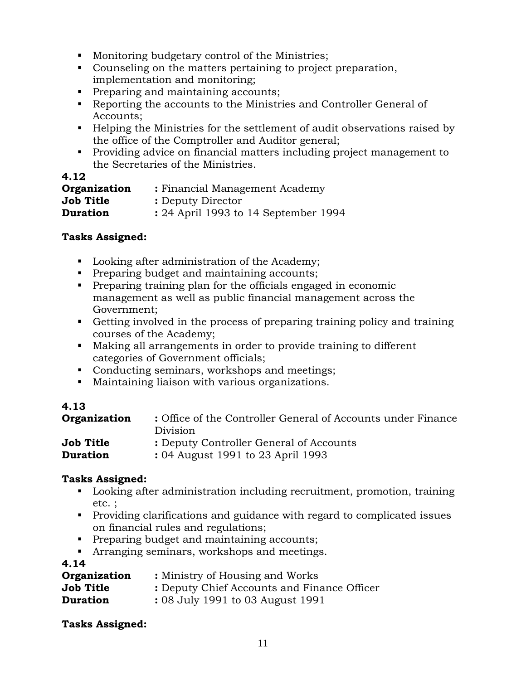- **Monitoring budgetary control of the Ministries;**
- Counseling on the matters pertaining to project preparation, implementation and monitoring;
- **Preparing and maintaining accounts;**
- Reporting the accounts to the Ministries and Controller General of Accounts;
- Helping the Ministries for the settlement of audit observations raised by the office of the Comptroller and Auditor general;
- Providing advice on financial matters including project management to the Secretaries of the Ministries.

## **4.12**

| Organization     | : Financial Management Academy       |  |  |
|------------------|--------------------------------------|--|--|
| <b>Job Title</b> | : Deputy Director                    |  |  |
| <b>Duration</b>  | : 24 April 1993 to 14 September 1994 |  |  |

## **Tasks Assigned:**

- **Looking after administration of the Academy;**
- **Preparing budget and maintaining accounts;**
- Preparing training plan for the officials engaged in economic management as well as public financial management across the Government;
- Getting involved in the process of preparing training policy and training courses of the Academy;
- Making all arrangements in order to provide training to different categories of Government officials;
- Conducting seminars, workshops and meetings;
- Maintaining liaison with various organizations.

## **4.13**

| Organization     | : Office of the Controller General of Accounts under Finance<br>Division |
|------------------|--------------------------------------------------------------------------|
| <b>Job Title</b> | : Deputy Controller General of Accounts                                  |
| <b>Duration</b>  | : 04 August 1991 to 23 April 1993                                        |

## **Tasks Assigned:**

- Looking after administration including recruitment, promotion, training etc. ;
- Providing clarifications and guidance with regard to complicated issues on financial rules and regulations;
- **Preparing budget and maintaining accounts;**
- **Arranging seminars, workshops and meetings.**

## **4.14**

| Organization    | : Ministry of Housing and Works             |  |  |
|-----------------|---------------------------------------------|--|--|
| Job Title       | : Deputy Chief Accounts and Finance Officer |  |  |
| <b>Duration</b> | : 08 July 1991 to 03 August 1991            |  |  |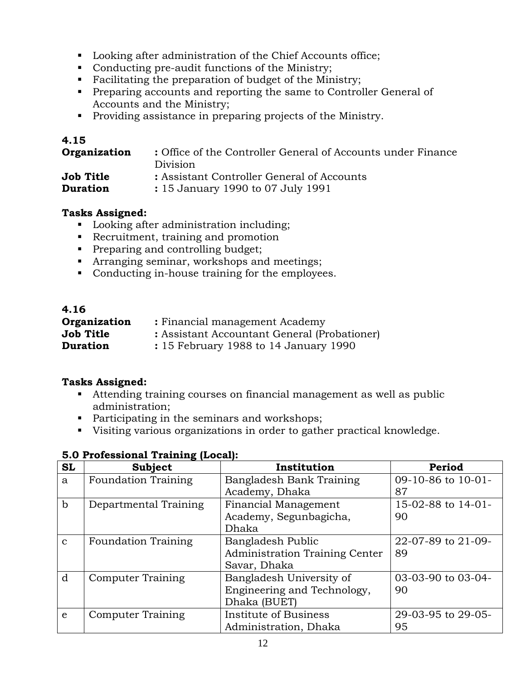- **Looking after administration of the Chief Accounts office;**
- Conducting pre-audit functions of the Ministry;
- Facilitating the preparation of budget of the Ministry;
- **Preparing accounts and reporting the same to Controller General of** Accounts and the Ministry;
- Providing assistance in preparing projects of the Ministry.

## **4.15**

| Organization    | : Office of the Controller General of Accounts under Finance<br>Division |
|-----------------|--------------------------------------------------------------------------|
| Job Title       | : Assistant Controller General of Accounts                               |
| <b>Duration</b> | : 15 January 1990 to 07 July 1991                                        |

## **Tasks Assigned:**

- **Looking after administration including;**
- Recruitment, training and promotion
- **Preparing and controlling budget;**
- **Arranging seminar, workshops and meetings;**
- Conducting in-house training for the employees.

| 4.16            |                                              |  |  |  |  |
|-----------------|----------------------------------------------|--|--|--|--|
| Organization    | : Financial management Academy               |  |  |  |  |
| Job Title       | : Assistant Accountant General (Probationer) |  |  |  |  |
| <b>Duration</b> | : 15 February 1988 to 14 January 1990        |  |  |  |  |

## **Tasks Assigned:**

- Attending training courses on financial management as well as public administration;
- Participating in the seminars and workshops;
- Visiting various organizations in order to gather practical knowledge.

| <b>SL</b>    | <b>Subject</b>             | Institution                    | Period             |
|--------------|----------------------------|--------------------------------|--------------------|
| a            | <b>Foundation Training</b> | Bangladesh Bank Training       | 09-10-86 to 10-01- |
|              |                            | Academy, Dhaka                 | 87                 |
| $\mathbf b$  | Departmental Training      | <b>Financial Management</b>    | 15-02-88 to 14-01- |
|              |                            | Academy, Segunbagicha,         | 90                 |
|              |                            | Dhaka                          |                    |
| $\mathbf{c}$ | <b>Foundation Training</b> | Bangladesh Public              | 22-07-89 to 21-09- |
|              |                            | Administration Training Center | 89                 |
|              |                            | Savar, Dhaka                   |                    |
| d            | <b>Computer Training</b>   | Bangladesh University of       | 03-03-90 to 03-04- |
|              |                            | Engineering and Technology,    | 90                 |
|              |                            | Dhaka (BUET)                   |                    |
| e            | <b>Computer Training</b>   | Institute of Business          | 29-03-95 to 29-05- |
|              |                            | Administration, Dhaka          | 95                 |

## **5.0 Professional Training (Local):**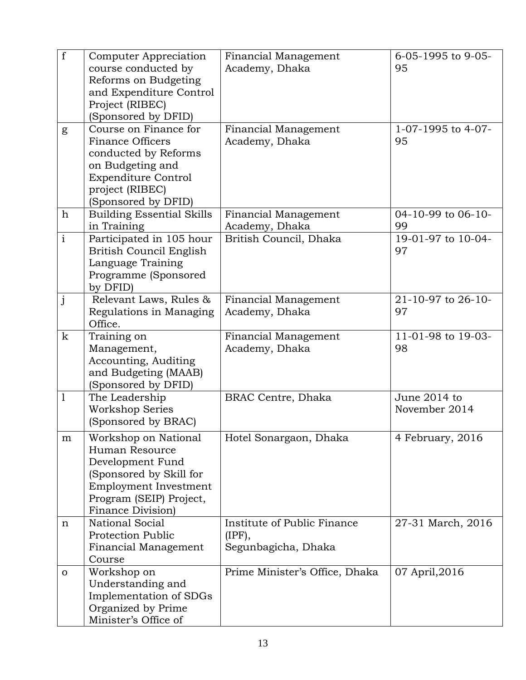| f              | Computer Appreciation<br>course conducted by<br>Reforms on Budgeting<br>and Expenditure Control<br>Project (RIBEC)<br>(Sponsored by DFID)                            | Financial Management<br>Academy, Dhaka                       | 6-05-1995 to 9-05-<br>95       |
|----------------|----------------------------------------------------------------------------------------------------------------------------------------------------------------------|--------------------------------------------------------------|--------------------------------|
| g              | Course on Finance for<br><b>Finance Officers</b><br>conducted by Reforms<br>on Budgeting and<br><b>Expenditure Control</b><br>project (RIBEC)<br>(Sponsored by DFID) | Financial Management<br>Academy, Dhaka                       | 1-07-1995 to 4-07-<br>95       |
| $\mathbf h$    | <b>Building Essential Skills</b>                                                                                                                                     | Financial Management                                         | 04-10-99 to 06-10-             |
| $\overline{i}$ | in Training<br>Participated in 105 hour<br>British Council English<br>Language Training<br>Programme (Sponsored<br>by DFID)                                          | Academy, Dhaka<br>British Council, Dhaka                     | 99<br>19-01-97 to 10-04-<br>97 |
| $\mathbf{j}$   | Relevant Laws, Rules &<br>Regulations in Managing<br>Office.                                                                                                         | Financial Management<br>Academy, Dhaka                       | 21-10-97 to 26-10-<br>97       |
| $\mathbf k$    | Training on<br>Management,<br>Accounting, Auditing<br>and Budgeting (MAAB)<br>(Sponsored by DFID)                                                                    | Financial Management<br>Academy, Dhaka                       | 11-01-98 to 19-03-<br>98       |
| $\mathbf{1}$   | The Leadership<br><b>Workshop Series</b><br>(Sponsored by BRAC)                                                                                                      | BRAC Centre, Dhaka                                           | June 2014 to<br>November 2014  |
| m              | Workshop on National<br>Human Resource<br>Development Fund<br>(Sponsored by Skill for<br>Employment Investment<br>Program (SEIP) Project,<br>Finance Division)       | Hotel Sonargaon, Dhaka                                       | 4 February, 2016               |
| n              | National Social<br><b>Protection Public</b><br>Financial Management<br>Course                                                                                        | Institute of Public Finance<br>(IPF),<br>Segunbagicha, Dhaka | 27-31 March, 2016              |
| $\Omega$       | Workshop on<br>Understanding and<br>Implementation of SDGs<br>Organized by Prime<br>Minister's Office of                                                             | Prime Minister's Office, Dhaka                               | 07 April, 2016                 |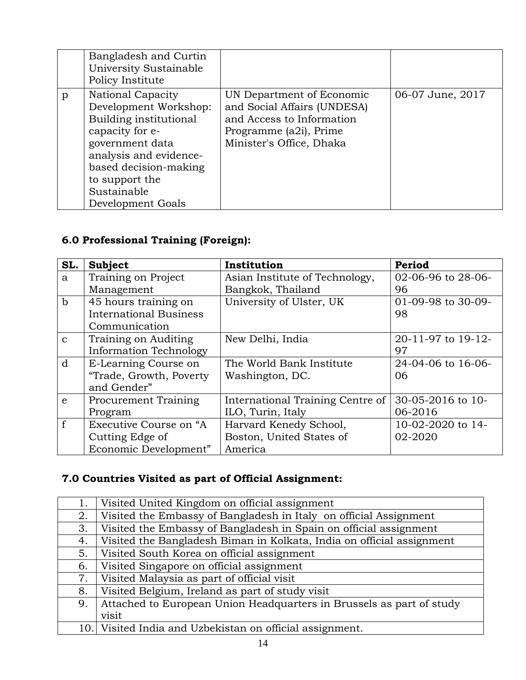|   | Bangladesh and Curtin<br>University Sustainable<br>Policy Institute                                                                                                                                                        |                                                                                                                                             |                  |
|---|----------------------------------------------------------------------------------------------------------------------------------------------------------------------------------------------------------------------------|---------------------------------------------------------------------------------------------------------------------------------------------|------------------|
| p | <b>National Capacity</b><br>Development Workshop:<br>Building institutional<br>capacity for e-<br>government data<br>analysis and evidence-<br>based decision-making<br>to support the<br>Sustainable<br>Development Goals | UN Department of Economic<br>and Social Affairs (UNDESA)<br>and Access to Information<br>Programme (a2i), Prime<br>Minister's Office, Dhaka | 06-07 June, 2017 |

## **6.0 Professional Training (Foreign):**

| SL.          | Subject                       | Institution                      | Period             |
|--------------|-------------------------------|----------------------------------|--------------------|
| a            | Training on Project           | Asian Institute of Technology,   | 02-06-96 to 28-06- |
|              | Management                    | Bangkok, Thailand                | 96                 |
| $\mathbf b$  | 45 hours training on          | University of Ulster, UK         | 01-09-98 to 30-09- |
|              | <b>International Business</b> |                                  | 98                 |
|              | Communication                 |                                  |                    |
| $\mathbf{C}$ | Training on Auditing          | New Delhi, India                 | 20-11-97 to 19-12- |
|              | <b>Information Technology</b> |                                  | 97                 |
| d            | E-Learning Course on          | The World Bank Institute         | 24-04-06 to 16-06- |
|              | "Trade, Growth, Poverty       | Washington, DC.                  | 06                 |
|              | and Gender"                   |                                  |                    |
| $\epsilon$   | <b>Procurement Training</b>   | International Training Centre of | 30-05-2016 to 10-  |
|              | Program                       | ILO, Turin, Italy                | 06-2016            |
| f            | Executive Course on "A        | Harvard Kenedy School,           | 10-02-2020 to 14-  |
|              | Cutting Edge of               | Boston, United States of         | 02-2020            |
|              | Economic Development"         | America                          |                    |

# **7.0 Countries Visited as part of Official Assignment:**

| 1.  | Visited United Kingdom on official assignment                         |
|-----|-----------------------------------------------------------------------|
| 2.  | Visited the Embassy of Bangladesh in Italy on official Assignment     |
| 3.  | Visited the Embassy of Bangladesh in Spain on official assignment     |
| 4.  | Visited the Bangladesh Biman in Kolkata, India on official assignment |
| 5.  | Visited South Korea on official assignment                            |
| 6.  | Visited Singapore on official assignment                              |
| 7.  | Visited Malaysia as part of official visit                            |
| 8.  | Visited Belgium, Ireland as part of study visit                       |
| 9.  | Attached to European Union Headquarters in Brussels as part of study  |
|     | visit                                                                 |
| 10. | Visited India and Uzbekistan on official assignment.                  |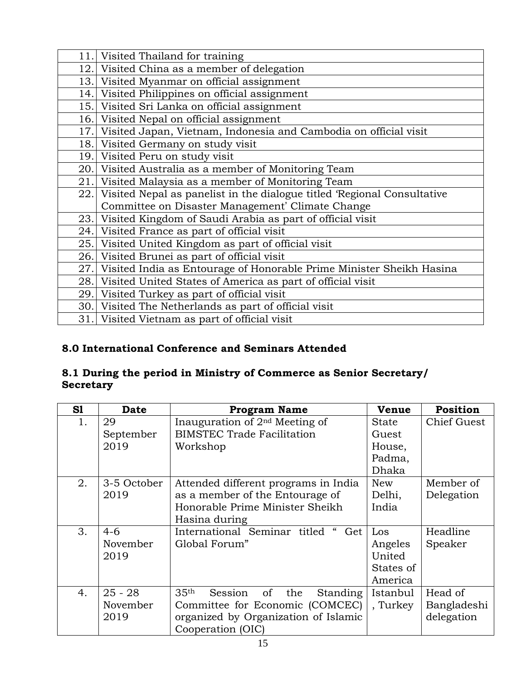| 11.  | Visited Thailand for training                                           |  |  |
|------|-------------------------------------------------------------------------|--|--|
| 12.1 | Visited China as a member of delegation                                 |  |  |
| 13.  | Visited Myanmar on official assignment                                  |  |  |
| 14.  | Visited Philippines on official assignment                              |  |  |
| 15.  | Visited Sri Lanka on official assignment                                |  |  |
| 16.  | Visited Nepal on official assignment                                    |  |  |
| 17.  | Visited Japan, Vietnam, Indonesia and Cambodia on official visit        |  |  |
| 18.  | Visited Germany on study visit                                          |  |  |
| 19.  | Visited Peru on study visit                                             |  |  |
| 20.  | Visited Australia as a member of Monitoring Team                        |  |  |
| 21.  | Visited Malaysia as a member of Monitoring Team                         |  |  |
| 22.1 | Visited Nepal as panelist in the dialogue titled 'Regional Consultative |  |  |
|      | Committee on Disaster Management' Climate Change                        |  |  |
| 23.  | Visited Kingdom of Saudi Arabia as part of official visit               |  |  |
| 24.  | Visited France as part of official visit                                |  |  |
| 25.  | Visited United Kingdom as part of official visit                        |  |  |
| 26.  | Visited Brunei as part of official visit                                |  |  |
| 27.  | Visited India as Entourage of Honorable Prime Minister Sheikh Hasina    |  |  |
| 28.  | Visited United States of America as part of official visit              |  |  |
| 29.  | Visited Turkey as part of official visit                                |  |  |
| 30.  | Visited The Netherlands as part of official visit                       |  |  |
| 31.1 | Visited Vietnam as part of official visit                               |  |  |

## **8.0 International Conference and Seminars Attended**

## **8.1 During the period in Ministry of Commerce as Senior Secretary/ Secretary**

| S1 | <b>Date</b> | <b>Program Name</b>                                  | Venue     | Position    |
|----|-------------|------------------------------------------------------|-----------|-------------|
| 1. | 29          | Inauguration of $2nd$ Meeting of                     | State     | Chief Guest |
|    | September   | <b>BIMSTEC Trade Facilitation</b>                    | Guest     |             |
|    | 2019        | Workshop                                             | House,    |             |
|    |             |                                                      | Padma,    |             |
|    |             |                                                      | Dhaka     |             |
| 2. | 3-5 October | Attended different programs in India                 | New       | Member of   |
|    | 2019        | as a member of the Entourage of                      | Delhi,    | Delegation  |
|    |             | Honorable Prime Minister Sheikh                      | India     |             |
|    |             | Hasina during                                        |           |             |
| 3. | $4-6$       | International Seminar titled<br>Get                  | Los       | Headline    |
|    | November    | Global Forum"                                        | Angeles   | Speaker     |
|    | 2019        |                                                      | United    |             |
|    |             |                                                      | States of |             |
|    |             |                                                      | America   |             |
| 4. | $25 - 28$   | 35 <sup>th</sup><br>of<br>the<br>Session<br>Standing | Istanbul  | Head of     |
|    | November    | Committee for Economic (COMCEC)                      | , Turkey  | Bangladeshi |
|    | 2019        | organized by Organization of Islamic                 |           | delegation  |
|    |             | Cooperation (OIC)                                    |           |             |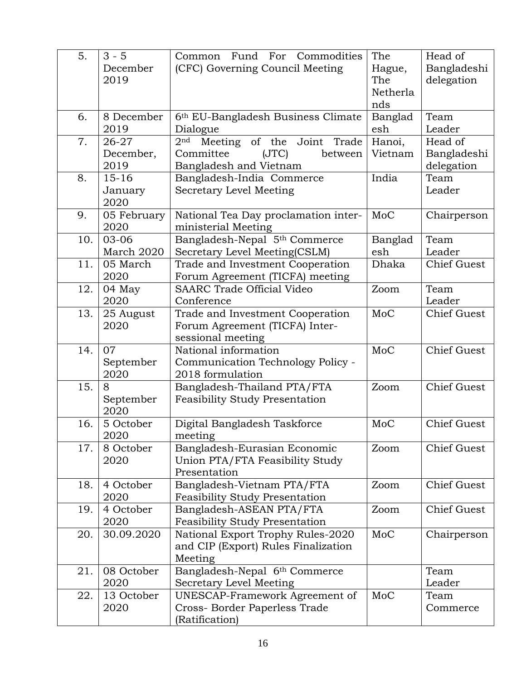| 5.  | $3 - 5$<br>December<br>2019 | Common Fund For Commodities<br>(CFC) Governing Council Meeting      | The<br>Hague,<br>The<br>Netherla | Head of<br>Bangladeshi<br>delegation |
|-----|-----------------------------|---------------------------------------------------------------------|----------------------------------|--------------------------------------|
| 6.  | 8 December                  | 6th EU-Bangladesh Business Climate                                  | nds<br>Banglad                   | Team                                 |
|     | 2019                        | Dialogue                                                            | esh                              | Leader                               |
| 7.  | 26-27                       | Joint<br>Meeting of the<br>2 <sup>nd</sup><br>Trade                 | Hanoi,                           | Head of                              |
|     | December,                   | Committee<br>(TC)<br>between                                        | Vietnam                          | Bangladeshi                          |
|     | 2019                        | Bangladesh and Vietnam                                              |                                  | delegation                           |
| 8.  | $15 - 16$                   | Bangladesh-India Commerce                                           | India                            | Team                                 |
|     | January                     | Secretary Level Meeting                                             |                                  | Leader                               |
| 9.  | 2020<br>05 February         |                                                                     | MoC                              |                                      |
|     | 2020                        | National Tea Day proclamation inter-<br>ministerial Meeting         |                                  | Chairperson                          |
| 10. | 03-06                       | Bangladesh-Nepal 5 <sup>th</sup> Commerce                           | Banglad                          | Team                                 |
|     | March 2020                  | Secretary Level Meeting(CSLM)                                       | esh                              | Leader                               |
| 11. | 05 March                    | Trade and Investment Cooperation                                    | Dhaka                            | <b>Chief Guest</b>                   |
|     | 2020                        | Forum Agreement (TICFA) meeting                                     |                                  |                                      |
| 12. | 04 May                      | <b>SAARC Trade Official Video</b>                                   | Zoom                             | Team                                 |
|     | 2020                        | Conference                                                          |                                  | Leader                               |
| 13. | 25 August                   | Trade and Investment Cooperation                                    | MoC                              | <b>Chief Guest</b>                   |
|     | 2020                        | Forum Agreement (TICFA) Inter-                                      |                                  |                                      |
|     |                             | sessional meeting                                                   |                                  |                                      |
| 14. | 07                          | National information                                                | MoC                              | <b>Chief Guest</b>                   |
|     | September                   | Communication Technology Policy -                                   |                                  |                                      |
|     | 2020                        | 2018 formulation                                                    |                                  |                                      |
| 15. | 8                           | Bangladesh-Thailand PTA/FTA                                         | Zoom                             | <b>Chief Guest</b>                   |
|     | September                   | <b>Feasibility Study Presentation</b>                               |                                  |                                      |
|     | 2020                        |                                                                     |                                  |                                      |
| 16. | 5 October                   | Digital Bangladesh Taskforce                                        | MoC                              | <b>Chief Guest</b>                   |
|     | 2020                        | meeting                                                             |                                  |                                      |
| 17. | 8 October                   | Bangladesh-Eurasian Economic                                        | Zoom                             | <b>Chief Guest</b>                   |
|     | 2020                        | Union PTA/FTA Feasibility Study                                     |                                  |                                      |
|     |                             | Presentation                                                        |                                  |                                      |
| 18. | 4 October<br>2020           | Bangladesh-Vietnam PTA/FTA<br><b>Feasibility Study Presentation</b> | Zoom                             | <b>Chief Guest</b>                   |
| 19. | 4 October                   | Bangladesh-ASEAN PTA/FTA                                            | Zoom                             | <b>Chief Guest</b>                   |
|     | 2020                        | <b>Feasibility Study Presentation</b>                               |                                  |                                      |
| 20. | 30.09.2020                  | National Export Trophy Rules-2020                                   | MoC                              | Chairperson                          |
|     |                             | and CIP (Export) Rules Finalization                                 |                                  |                                      |
|     |                             | Meeting                                                             |                                  |                                      |
| 21. | 08 October                  | Bangladesh-Nepal 6th Commerce                                       |                                  | Team                                 |
|     | 2020                        | Secretary Level Meeting                                             |                                  | Leader                               |
| 22. | 13 October                  | UNESCAP-Framework Agreement of                                      | MoC                              | Team                                 |
|     | 2020                        | Cross- Border Paperless Trade                                       |                                  | Commerce                             |
|     |                             | (Ratification)                                                      |                                  |                                      |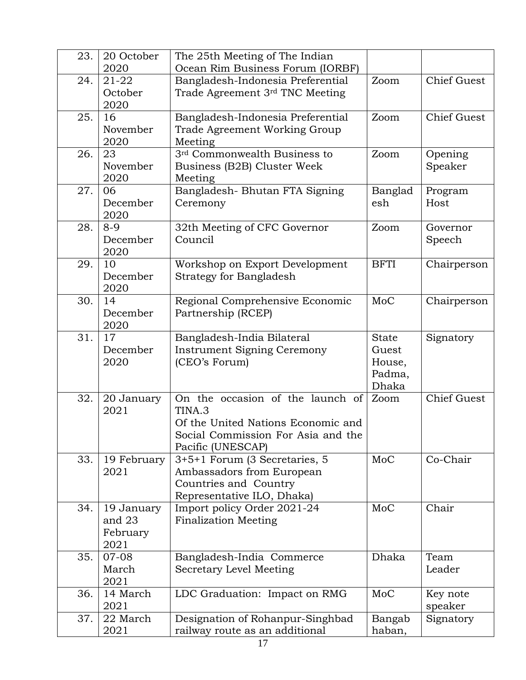| 23. | 20 October       | The 25th Meeting of The Indian                                     |                  |                     |
|-----|------------------|--------------------------------------------------------------------|------------------|---------------------|
|     | 2020             | Ocean Rim Business Forum (IORBF)                                   |                  |                     |
| 24. | $21 - 22$        | Bangladesh-Indonesia Preferential                                  | Zoom             | <b>Chief Guest</b>  |
|     | October          | Trade Agreement 3rd TNC Meeting                                    |                  |                     |
|     | 2020             |                                                                    |                  |                     |
| 25. | 16               | Bangladesh-Indonesia Preferential                                  | Zoom             | <b>Chief Guest</b>  |
|     | November         | Trade Agreement Working Group                                      |                  |                     |
|     | 2020             | Meeting                                                            |                  |                     |
| 26. | 23               | 3rd Commonwealth Business to                                       | Zoom             | Opening             |
|     | November         | Business (B2B) Cluster Week                                        |                  | Speaker             |
|     | 2020             | Meeting                                                            |                  |                     |
| 27. | 06               | Bangladesh-Bhutan FTA Signing                                      | Banglad          | Program             |
|     | December         | Ceremony                                                           | esh              | Host                |
|     | 2020             |                                                                    |                  |                     |
| 28. | $8 - 9$          | 32th Meeting of CFC Governor                                       | Zoom             | Governor            |
|     | December         | Council                                                            |                  | Speech              |
|     | 2020             |                                                                    |                  |                     |
| 29. | 10               | Workshop on Export Development                                     | <b>BFTI</b>      | Chairperson         |
|     | December<br>2020 | <b>Strategy for Bangladesh</b>                                     |                  |                     |
| 30. | 14               |                                                                    | MoC              |                     |
|     | December         | Regional Comprehensive Economic<br>Partnership (RCEP)              |                  | Chairperson         |
|     | 2020             |                                                                    |                  |                     |
| 31. | 17               | Bangladesh-India Bilateral                                         | <b>State</b>     | Signatory           |
|     | December         | <b>Instrument Signing Ceremony</b>                                 | Guest            |                     |
|     | 2020             | (CEO's Forum)                                                      | House,           |                     |
|     |                  |                                                                    | Padma,           |                     |
|     |                  |                                                                    | Dhaka            |                     |
| 32. | 20 January       | On the occasion of the launch of                                   | Zoom             | <b>Chief Guest</b>  |
|     | 2021             | TINA.3                                                             |                  |                     |
|     |                  | Of the United Nations Economic and                                 |                  |                     |
|     |                  | Social Commission For Asia and the                                 |                  |                     |
|     |                  | Pacific (UNESCAP)                                                  |                  |                     |
| 33. | 19 February      | 3+5+1 Forum (3 Secretaries, 5                                      | MoC              | Co-Chair            |
|     | 2021             | Ambassadors from European                                          |                  |                     |
|     |                  | Countries and Country                                              |                  |                     |
|     |                  | Representative ILO, Dhaka)                                         |                  |                     |
| 34. | 19 January       | Import policy Order 2021-24                                        | MoC              | Chair               |
|     | and 23           | <b>Finalization Meeting</b>                                        |                  |                     |
|     | February         |                                                                    |                  |                     |
|     | 2021             |                                                                    |                  |                     |
| 35. | 07-08            | Bangladesh-India Commerce                                          | Dhaka            | Team                |
|     | March            | Secretary Level Meeting                                            |                  | Leader              |
| 36. | 2021<br>14 March |                                                                    | MoC              |                     |
|     | 2021             | LDC Graduation: Impact on RMG                                      |                  | Key note<br>speaker |
| 37. | 22 March         |                                                                    |                  | Signatory           |
|     | 2021             | Designation of Rohanpur-Singhbad<br>railway route as an additional | Bangab<br>haban, |                     |
|     |                  |                                                                    |                  |                     |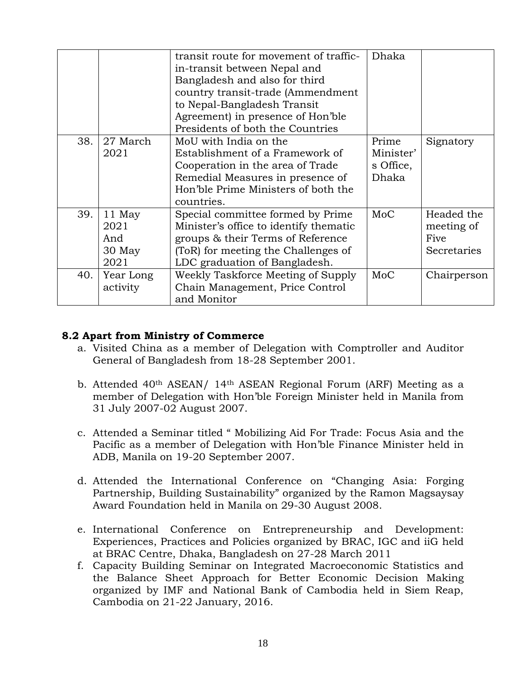|     |                                         | transit route for movement of traffic-<br>in-transit between Nepal and<br>Bangladesh and also for third<br>country transit-trade (Ammendment<br>to Nepal-Bangladesh Transit<br>Agreement) in presence of Hon'ble<br>Presidents of both the Countries | Dhaka                                    |                                                 |
|-----|-----------------------------------------|------------------------------------------------------------------------------------------------------------------------------------------------------------------------------------------------------------------------------------------------------|------------------------------------------|-------------------------------------------------|
| 38. | 27 March<br>2021                        | MoU with India on the<br>Establishment of a Framework of<br>Cooperation in the area of Trade<br>Remedial Measures in presence of<br>Hon'ble Prime Ministers of both the<br>countries.                                                                | Prime<br>Minister'<br>s Office,<br>Dhaka | Signatory                                       |
| 39. | 11 May<br>2021<br>And<br>30 May<br>2021 | Special committee formed by Prime<br>Minister's office to identify thematic<br>groups & their Terms of Reference<br>(ToR) for meeting the Challenges of<br>LDC graduation of Bangladesh.                                                             | MoC                                      | Headed the<br>meeting of<br>Five<br>Secretaries |
| 40. | Year Long<br>activity                   | Weekly Taskforce Meeting of Supply<br>Chain Management, Price Control<br>and Monitor                                                                                                                                                                 | MoC                                      | Chairperson                                     |

#### **8.2 Apart from Ministry of Commerce**

- a. Visited China as a member of Delegation with Comptroller and Auditor General of Bangladesh from 18-28 September 2001.
- b. Attended 40th ASEAN/ 14th ASEAN Regional Forum (ARF) Meeting as a member of Delegation with Hon'ble Foreign Minister held in Manila from 31 July 2007-02 August 2007.
- c. Attended a Seminar titled " Mobilizing Aid For Trade: Focus Asia and the Pacific as a member of Delegation with Hon'ble Finance Minister held in ADB, Manila on 19-20 September 2007.
- d. Attended the International Conference on "Changing Asia: Forging Partnership, Building Sustainability" organized by the Ramon Magsaysay Award Foundation held in Manila on 29-30 August 2008.
- e. International Conference on Entrepreneurship and Development: Experiences, Practices and Policies organized by BRAC, IGC and iiG held at BRAC Centre, Dhaka, Bangladesh on 27-28 March 2011
- f. Capacity Building Seminar on Integrated Macroeconomic Statistics and the Balance Sheet Approach for Better Economic Decision Making organized by IMF and National Bank of Cambodia held in Siem Reap, Cambodia on 21-22 January, 2016.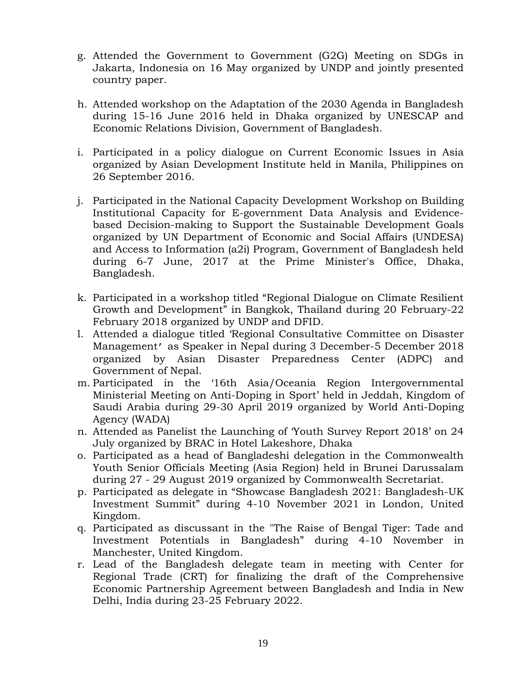- g. Attended the Government to Government (G2G) Meeting on SDGs in Jakarta, Indonesia on 16 May organized by UNDP and jointly presented country paper.
- h. Attended workshop on the Adaptation of the 2030 Agenda in Bangladesh during 15-16 June 2016 held in Dhaka organized by UNESCAP and Economic Relations Division, Government of Bangladesh.
- i. Participated in a policy dialogue on Current Economic Issues in Asia organized by Asian Development Institute held in Manila, Philippines on 26 September 2016.
- j. Participated in the National Capacity Development Workshop on Building Institutional Capacity for E-government Data Analysis and Evidencebased Decision-making to Support the Sustainable Development Goals organized by UN Department of Economic and Social Affairs (UNDESA) and Access to Information (a2i) Program, Government of Bangladesh held during 6-7 June, 2017 at the Prime Minister's Office, Dhaka, Bangladesh.
- k. Participated in a workshop titled "Regional Dialogue on Climate Resilient Growth and Development" in Bangkok, Thailand during 20 February-22 February 2018 organized by UNDP and DFID.
- l. Attended a dialogue titled 'Regional Consultative Committee on Disaster Management' as Speaker in Nepal during 3 December-5 December 2018 organized by Asian Disaster Preparedness Center (ADPC) and Government of Nepal.
- m. Participated in the '16th Asia/Oceania Region Intergovernmental Ministerial Meeting on Anti-Doping in Sport' held in Jeddah, Kingdom of Saudi Arabia during 29-30 April 2019 organized by World Anti-Doping Agency (WADA)
- n. Attended as Panelist the Launching of 'Youth Survey Report 2018' on 24 July organized by BRAC in Hotel Lakeshore, Dhaka
- o. Participated as a head of Bangladeshi delegation in the Commonwealth Youth Senior Officials Meeting (Asia Region) held in Brunei Darussalam during 27 - 29 August 2019 organized by Commonwealth Secretariat.
- p. Participated as delegate in "Showcase Bangladesh 2021: Bangladesh-UK Investment Summit" during 4-10 November 2021 in London, United Kingdom.
- q. Participated as discussant in the "The Raise of Bengal Tiger: Tade and Investment Potentials in Bangladesh" during 4-10 November in Manchester, United Kingdom.
- r. Lead of the Bangladesh delegate team in meeting with Center for Regional Trade (CRT) for finalizing the draft of the Comprehensive Economic Partnership Agreement between Bangladesh and India in New Delhi, India during 23-25 February 2022.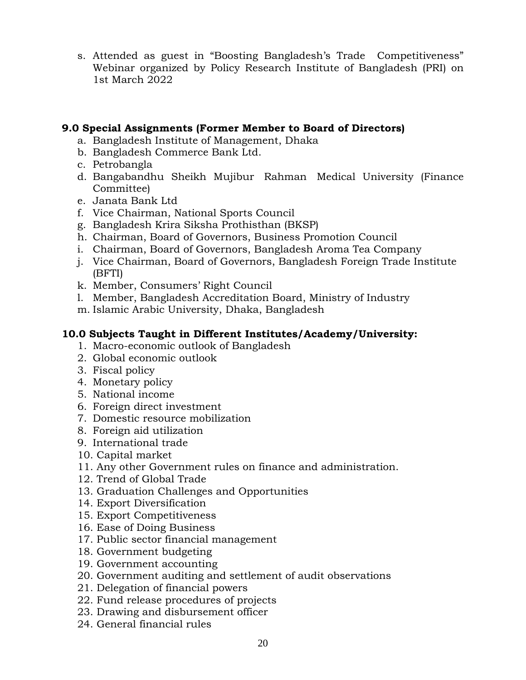s. Attended as guest in "Boosting Bangladesh's Trade Competitiveness" Webinar organized by Policy Research Institute of Bangladesh (PRI) on 1st March 2022

#### **9.0 Special Assignments (Former Member to Board of Directors)**

- a. Bangladesh Institute of Management, Dhaka
- b. Bangladesh Commerce Bank Ltd.
- c. Petrobangla
- d. Bangabandhu Sheikh Mujibur Rahman Medical University (Finance Committee)
- e. Janata Bank Ltd
- f. Vice Chairman, National Sports Council
- g. Bangladesh Krira Siksha Prothisthan (BKSP)
- h. Chairman, Board of Governors, Business Promotion Council
- i. Chairman, Board of Governors, Bangladesh Aroma Tea Company
- j. Vice Chairman, Board of Governors, Bangladesh Foreign Trade Institute (BFTI)
- k. Member, Consumers' Right Council
- l. Member, Bangladesh Accreditation Board, Ministry of Industry
- m. Islamic Arabic University, Dhaka, Bangladesh

#### **10.0 Subjects Taught in Different Institutes/Academy/University:**

- 1. Macro-economic outlook of Bangladesh
- 2. Global economic outlook
- 3. Fiscal policy
- 4. Monetary policy
- 5. National income
- 6. Foreign direct investment
- 7. Domestic resource mobilization
- 8. Foreign aid utilization
- 9. International trade
- 10. Capital market
- 11. Any other Government rules on finance and administration.
- 12. Trend of Global Trade
- 13. Graduation Challenges and Opportunities
- 14. Export Diversification
- 15. Export Competitiveness
- 16. Ease of Doing Business
- 17. Public sector financial management
- 18. Government budgeting
- 19. Government accounting
- 20. Government auditing and settlement of audit observations
- 21. Delegation of financial powers
- 22. Fund release procedures of projects
- 23. Drawing and disbursement officer
- 24. General financial rules